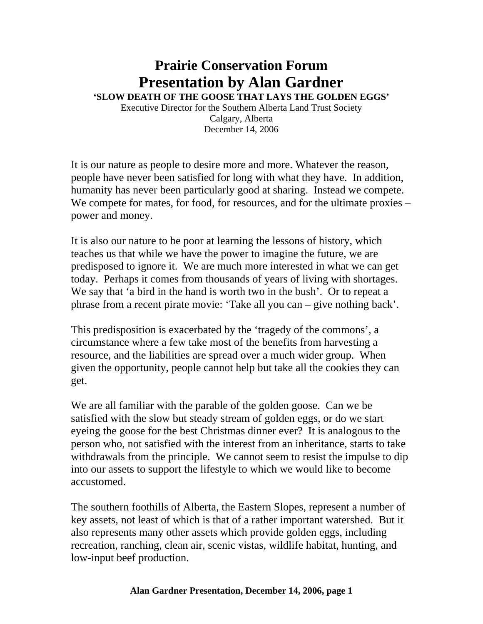## **Prairie Conservation Forum Presentation by Alan Gardner**

**'SLOW DEATH OF THE GOOSE THAT LAYS THE GOLDEN EGGS'** 

Executive Director for the Southern Alberta Land Trust Society Calgary, Alberta December 14, 2006

It is our nature as people to desire more and more. Whatever the reason, people have never been satisfied for long with what they have. In addition, humanity has never been particularly good at sharing. Instead we compete. We compete for mates, for food, for resources, and for the ultimate proxies – power and money.

It is also our nature to be poor at learning the lessons of history, which teaches us that while we have the power to imagine the future, we are predisposed to ignore it. We are much more interested in what we can get today. Perhaps it comes from thousands of years of living with shortages. We say that 'a bird in the hand is worth two in the bush'. Or to repeat a phrase from a recent pirate movie: 'Take all you can – give nothing back'.

This predisposition is exacerbated by the 'tragedy of the commons', a circumstance where a few take most of the benefits from harvesting a resource, and the liabilities are spread over a much wider group. When given the opportunity, people cannot help but take all the cookies they can get.

We are all familiar with the parable of the golden goose. Can we be satisfied with the slow but steady stream of golden eggs, or do we start eyeing the goose for the best Christmas dinner ever? It is analogous to the person who, not satisfied with the interest from an inheritance, starts to take withdrawals from the principle. We cannot seem to resist the impulse to dip into our assets to support the lifestyle to which we would like to become accustomed.

The southern foothills of Alberta, the Eastern Slopes, represent a number of key assets, not least of which is that of a rather important watershed. But it also represents many other assets which provide golden eggs, including recreation, ranching, clean air, scenic vistas, wildlife habitat, hunting, and low-input beef production.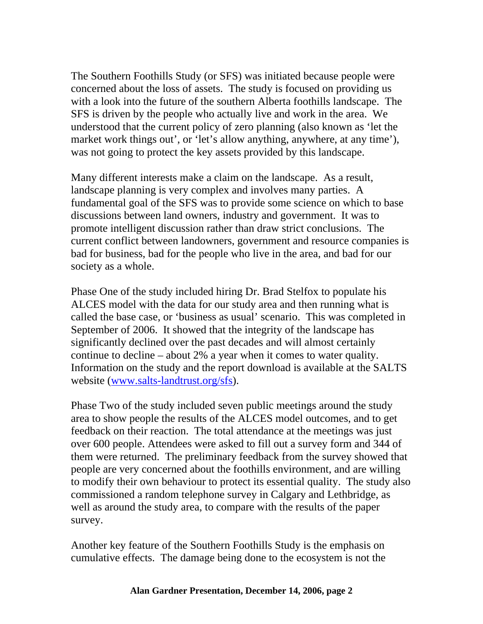The Southern Foothills Study (or SFS) was initiated because people were concerned about the loss of assets. The study is focused on providing us with a look into the future of the southern Alberta foothills landscape. The SFS is driven by the people who actually live and work in the area. We understood that the current policy of zero planning (also known as 'let the market work things out', or 'let's allow anything, anywhere, at any time'), was not going to protect the key assets provided by this landscape.

Many different interests make a claim on the landscape. As a result, landscape planning is very complex and involves many parties. A fundamental goal of the SFS was to provide some science on which to base discussions between land owners, industry and government. It was to promote intelligent discussion rather than draw strict conclusions. The current conflict between landowners, government and resource companies is bad for business, bad for the people who live in the area, and bad for our society as a whole.

Phase One of the study included hiring Dr. Brad Stelfox to populate his ALCES model with the data for our study area and then running what is called the base case, or 'business as usual' scenario. This was completed in September of 2006. It showed that the integrity of the landscape has significantly declined over the past decades and will almost certainly continue to decline – about 2% a year when it comes to water quality. Information on the study and the report download is available at the SALTS website (www.salts-landtrust.org/sfs).

Phase Two of the study included seven public meetings around the study area to show people the results of the ALCES model outcomes, and to get feedback on their reaction. The total attendance at the meetings was just over 600 people. Attendees were asked to fill out a survey form and 344 of them were returned. The preliminary feedback from the survey showed that people are very concerned about the foothills environment, and are willing to modify their own behaviour to protect its essential quality. The study also commissioned a random telephone survey in Calgary and Lethbridge, as well as around the study area, to compare with the results of the paper survey.

Another key feature of the Southern Foothills Study is the emphasis on cumulative effects. The damage being done to the ecosystem is not the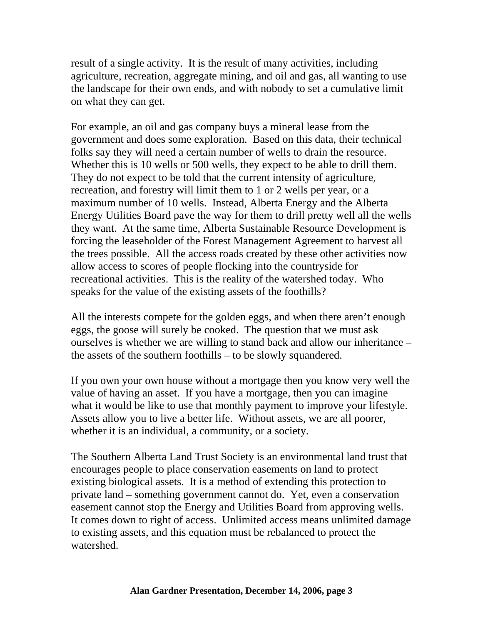result of a single activity. It is the result of many activities, including agriculture, recreation, aggregate mining, and oil and gas, all wanting to use the landscape for their own ends, and with nobody to set a cumulative limit on what they can get.

For example, an oil and gas company buys a mineral lease from the government and does some exploration. Based on this data, their technical folks say they will need a certain number of wells to drain the resource. Whether this is 10 wells or 500 wells, they expect to be able to drill them. They do not expect to be told that the current intensity of agriculture, recreation, and forestry will limit them to 1 or 2 wells per year, or a maximum number of 10 wells. Instead, Alberta Energy and the Alberta Energy Utilities Board pave the way for them to drill pretty well all the wells they want. At the same time, Alberta Sustainable Resource Development is forcing the leaseholder of the Forest Management Agreement to harvest all the trees possible. All the access roads created by these other activities now allow access to scores of people flocking into the countryside for recreational activities. This is the reality of the watershed today. Who speaks for the value of the existing assets of the foothills?

All the interests compete for the golden eggs, and when there aren't enough eggs, the goose will surely be cooked. The question that we must ask ourselves is whether we are willing to stand back and allow our inheritance – the assets of the southern foothills – to be slowly squandered.

If you own your own house without a mortgage then you know very well the value of having an asset. If you have a mortgage, then you can imagine what it would be like to use that monthly payment to improve your lifestyle. Assets allow you to live a better life. Without assets, we are all poorer, whether it is an individual, a community, or a society.

The Southern Alberta Land Trust Society is an environmental land trust that encourages people to place conservation easements on land to protect existing biological assets. It is a method of extending this protection to private land – something government cannot do. Yet, even a conservation easement cannot stop the Energy and Utilities Board from approving wells. It comes down to right of access. Unlimited access means unlimited damage to existing assets, and this equation must be rebalanced to protect the watershed.